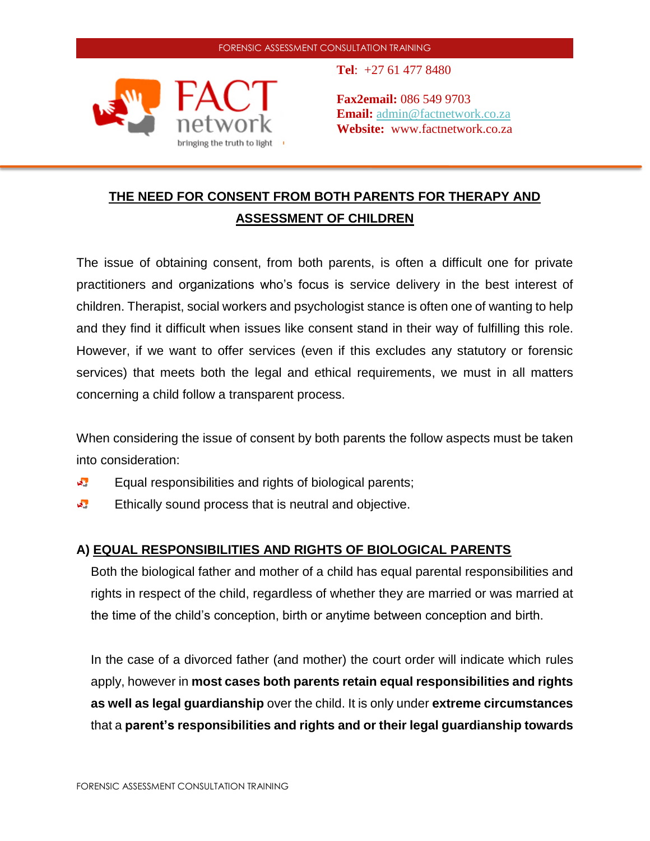

**Tel**: +27 61 477 8480

**Fax2email:** 086 549 9703 **Email:** [admin@factnetwork.co.za](mailto:admin@factnetwork.co.za) **Website:** www.factnetwork.co.za

# **THE NEED FOR CONSENT FROM BOTH PARENTS FOR THERAPY AND ASSESSMENT OF CHILDREN**

The issue of obtaining consent, from both parents, is often a difficult one for private practitioners and organizations who's focus is service delivery in the best interest of children. Therapist, social workers and psychologist stance is often one of wanting to help and they find it difficult when issues like consent stand in their way of fulfilling this role. However, if we want to offer services (even if this excludes any statutory or forensic services) that meets both the legal and ethical requirements, we must in all matters concerning a child follow a transparent process.

When considering the issue of consent by both parents the follow aspects must be taken into consideration:

- $\mathbf{w}^{\text{out}}$ Equal responsibilities and rights of biological parents;
- 大學 Ethically sound process that is neutral and objective.

# **A) EQUAL RESPONSIBILITIES AND RIGHTS OF BIOLOGICAL PARENTS**

Both the biological father and mother of a child has equal parental responsibilities and rights in respect of the child, regardless of whether they are married or was married at the time of the child's conception, birth or anytime between conception and birth.

In the case of a divorced father (and mother) the court order will indicate which rules apply, however in **most cases both parents retain equal responsibilities and rights as well as legal guardianship** over the child. It is only under **extreme circumstances** that a **parent's responsibilities and rights and or their legal guardianship towards**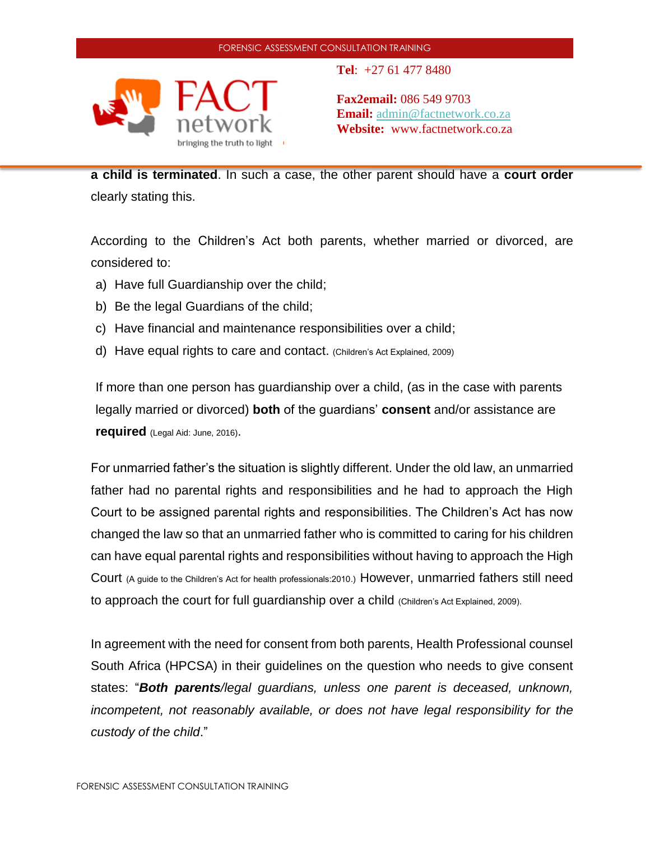

**Tel**: +27 61 477 8480

**Fax2email:** 086 549 9703 **Email:** [admin@factnetwork.co.za](mailto:admin@factnetwork.co.za) **Website:** www.factnetwork.co.za

**a child is terminated**. In such a case, the other parent should have a **court order** clearly stating this.

According to the Children's Act both parents, whether married or divorced, are considered to:

- a) Have full Guardianship over the child;
- b) Be the legal Guardians of the child;
- c) Have financial and maintenance responsibilities over a child;
- d) Have equal rights to care and contact. (Children's Act Explained, 2009)

If more than one person has guardianship over a child, (as in the case with parents legally married or divorced) **both** of the guardians' **consent** and/or assistance are **required** (Legal Aid: June, 2016).

For unmarried father's the situation is slightly different. Under the old law, an unmarried father had no parental rights and responsibilities and he had to approach the High Court to be assigned parental rights and responsibilities. The Children's Act has now changed the law so that an unmarried father who is committed to caring for his children can have equal parental rights and responsibilities without having to approach the High Court (A guide to the Children's Act for health professionals:2010.) However, unmarried fathers still need to approach the court for full guardianship over a child (Children's Act Explained, 2009).

In agreement with the need for consent from both parents, Health Professional counsel South Africa (HPCSA) in their guidelines on the question who needs to give consent states: "*Both parents/legal guardians, unless one parent is deceased, unknown, incompetent, not reasonably available, or does not have legal responsibility for the custody of the child*."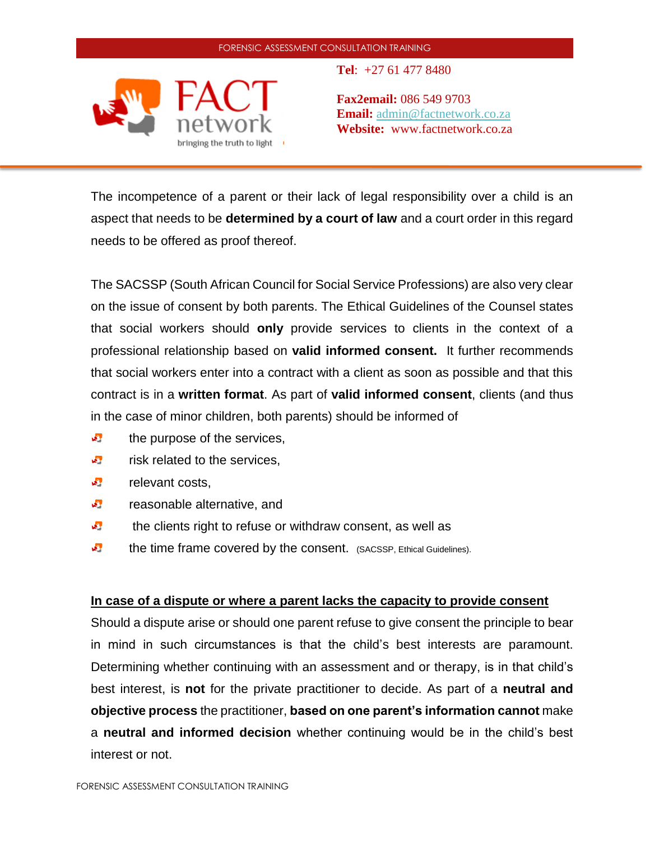

**Tel**: +27 61 477 8480

**Fax2email:** 086 549 9703 **Email:** [admin@factnetwork.co.za](mailto:admin@factnetwork.co.za) **Website:** www.factnetwork.co.za

The incompetence of a parent or their lack of legal responsibility over a child is an aspect that needs to be **determined by a court of law** and a court order in this regard needs to be offered as proof thereof.

The SACSSP (South African Council for Social Service Professions) are also very clear on the issue of consent by both parents. The Ethical Guidelines of the Counsel states that social workers should **only** provide services to clients in the context of a professional relationship based on **valid informed consent.** It further recommends that social workers enter into a contract with a client as soon as possible and that this contract is in a **written format**. As part of **valid informed consent**, clients (and thus in the case of minor children, both parents) should be informed of

- $\mathbf{v}$ the purpose of the services,
- **AND** risk related to the services,
- **AND** relevant costs,
- $\mathbf{w}^{\text{out}}$ reasonable alternative, and
- $\mathbf{L}^{\text{out}}$ the clients right to refuse or withdraw consent, as well as
- $\mathbf{w}^{\text{in}}$ the time frame covered by the consent. (SACSSP, Ethical Guidelines).

### **In case of a dispute or where a parent lacks the capacity to provide consent**

Should a dispute arise or should one parent refuse to give consent the principle to bear in mind in such circumstances is that the child's best interests are paramount. Determining whether continuing with an assessment and or therapy, is in that child's best interest, is **not** for the private practitioner to decide. As part of a **neutral and objective process** the practitioner, **based on one parent's information cannot** make a **neutral and informed decision** whether continuing would be in the child's best interest or not.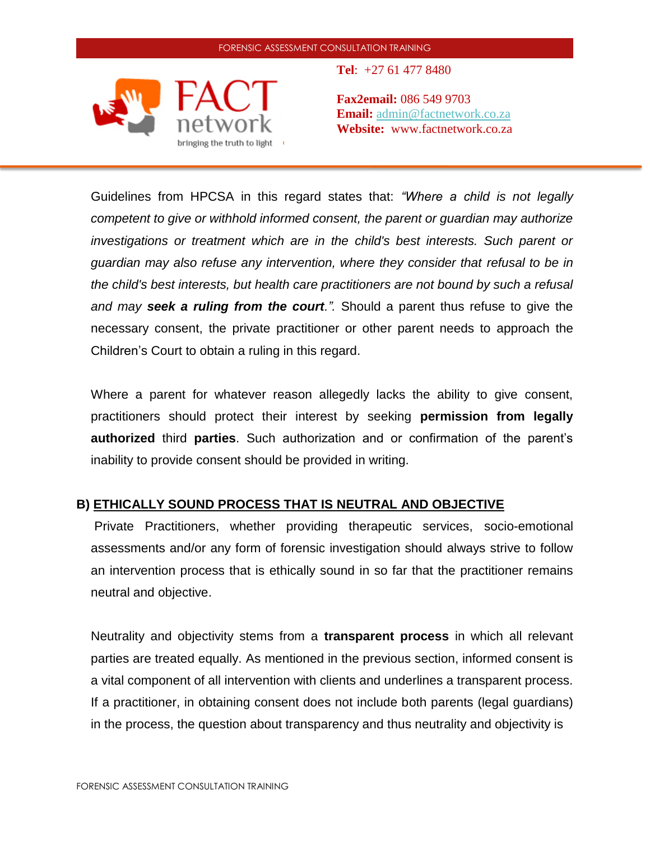

**Tel**: +27 61 477 8480

**Fax2email:** 086 549 9703 **Email:** [admin@factnetwork.co.za](mailto:admin@factnetwork.co.za) **Website:** www.factnetwork.co.za

Guidelines from HPCSA in this regard states that: *"Where a child is not legally competent to give or withhold informed consent, the parent or guardian may authorize investigations or treatment which are in the child's best interests. Such parent or guardian may also refuse any intervention, where they consider that refusal to be in the child's best interests, but health care practitioners are not bound by such a refusal and may seek a ruling from the court.".* Should a parent thus refuse to give the necessary consent, the private practitioner or other parent needs to approach the Children's Court to obtain a ruling in this regard.

Where a parent for whatever reason allegedly lacks the ability to give consent, practitioners should protect their interest by seeking **permission from legally authorized** third **parties**. Such authorization and or confirmation of the parent's inability to provide consent should be provided in writing.

## **B) ETHICALLY SOUND PROCESS THAT IS NEUTRAL AND OBJECTIVE**

Private Practitioners, whether providing therapeutic services, socio-emotional assessments and/or any form of forensic investigation should always strive to follow an intervention process that is ethically sound in so far that the practitioner remains neutral and objective.

Neutrality and objectivity stems from a **transparent process** in which all relevant parties are treated equally. As mentioned in the previous section, informed consent is a vital component of all intervention with clients and underlines a transparent process. If a practitioner, in obtaining consent does not include both parents (legal guardians) in the process, the question about transparency and thus neutrality and objectivity is